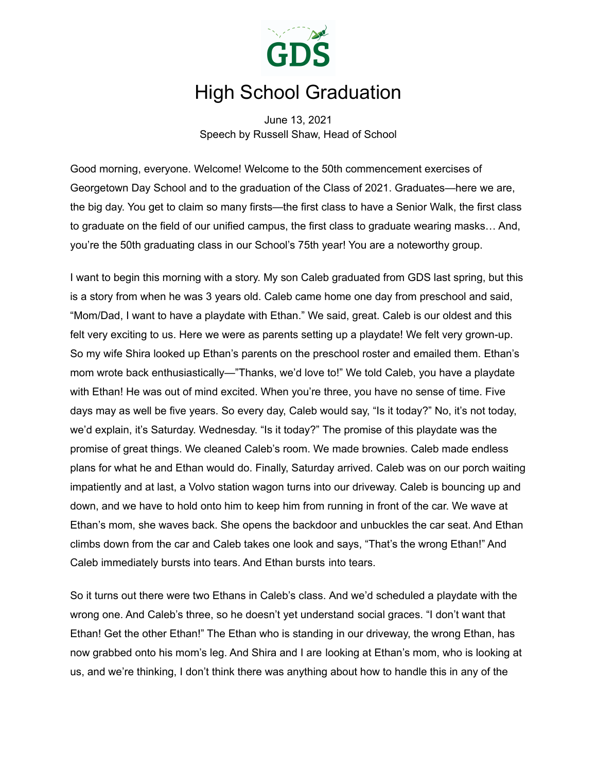

# High School Graduation

June 13, 2021 Speech by Russell Shaw, Head of School

Good morning, everyone. Welcome! Welcome to the 50th commencement exercises of Georgetown Day School and to the graduation of the Class of 2021. Graduates—here we are, the big day. You get to claim so many firsts—the first class to have a Senior Walk, the first class to graduate on the field of our unified campus, the first class to graduate wearing masks… And, you're the 50th graduating class in our School's 75th year! You are a noteworthy group.

I want to begin this morning with a story. My son Caleb graduated from GDS last spring, but this is a story from when he was 3 years old. Caleb came home one day from preschool and said, "Mom/Dad, I want to have a playdate with Ethan." We said, great. Caleb is our oldest and this felt very exciting to us. Here we were as parents setting up a playdate! We felt very grown-up. So my wife Shira looked up Ethan's parents on the preschool roster and emailed them. Ethan's mom wrote back enthusiastically—"Thanks, we'd love to!" We told Caleb, you have a playdate with Ethan! He was out of mind excited. When you're three, you have no sense of time. Five days may as well be five years. So every day, Caleb would say, "Is it today?" No, it's not today, we'd explain, it's Saturday. Wednesday. "Is it today?" The promise of this playdate was the promise of great things. We cleaned Caleb's room. We made brownies. Caleb made endless plans for what he and Ethan would do. Finally, Saturday arrived. Caleb was on our porch waiting impatiently and at last, a Volvo station wagon turns into our driveway. Caleb is bouncing up and down, and we have to hold onto him to keep him from running in front of the car. We wave at Ethan's mom, she waves back. She opens the backdoor and unbuckles the car seat. And Ethan climbs down from the car and Caleb takes one look and says, "That's the wrong Ethan!" And Caleb immediately bursts into tears. And Ethan bursts into tears.

So it turns out there were two Ethans in Caleb's class. And we'd scheduled a playdate with the wrong one. And Caleb's three, so he doesn't yet understand social graces. "I don't want that Ethan! Get the other Ethan!" The Ethan who is standing in our driveway, the wrong Ethan, has now grabbed onto his mom's leg. And Shira and I are looking at Ethan's mom, who is looking at us, and we're thinking, I don't think there was anything about how to handle this in any of the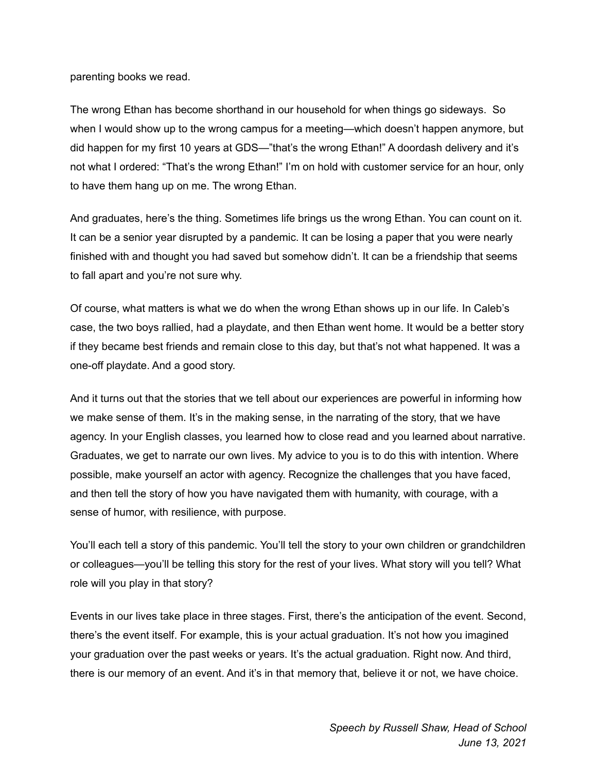parenting books we read.

The wrong Ethan has become shorthand in our household for when things go sideways. So when I would show up to the wrong campus for a meeting—which doesn't happen anymore, but did happen for my first 10 years at GDS—"that's the wrong Ethan!" A doordash delivery and it's not what I ordered: "That's the wrong Ethan!" I'm on hold with customer service for an hour, only to have them hang up on me. The wrong Ethan.

And graduates, here's the thing. Sometimes life brings us the wrong Ethan. You can count on it. It can be a senior year disrupted by a pandemic. It can be losing a paper that you were nearly finished with and thought you had saved but somehow didn't. It can be a friendship that seems to fall apart and you're not sure why.

Of course, what matters is what we do when the wrong Ethan shows up in our life. In Caleb's case, the two boys rallied, had a playdate, and then Ethan went home. It would be a better story if they became best friends and remain close to this day, but that's not what happened. It was a one-off playdate. And a good story.

And it turns out that the stories that we tell about our experiences are powerful in informing how we make sense of them. It's in the making sense, in the narrating of the story, that we have agency. In your English classes, you learned how to close read and you learned about narrative. Graduates, we get to narrate our own lives. My advice to you is to do this with intention. Where possible, make yourself an actor with agency. Recognize the challenges that you have faced, and then tell the story of how you have navigated them with humanity, with courage, with a sense of humor, with resilience, with purpose.

You'll each tell a story of this pandemic. You'll tell the story to your own children or grandchildren or colleagues—you'll be telling this story for the rest of your lives. What story will you tell? What role will you play in that story?

Events in our lives take place in three stages. First, there's the anticipation of the event. Second, there's the event itself. For example, this is your actual graduation. It's not how you imagined your graduation over the past weeks or years. It's the actual graduation. Right now. And third, there is our memory of an event. And it's in that memory that, believe it or not, we have choice.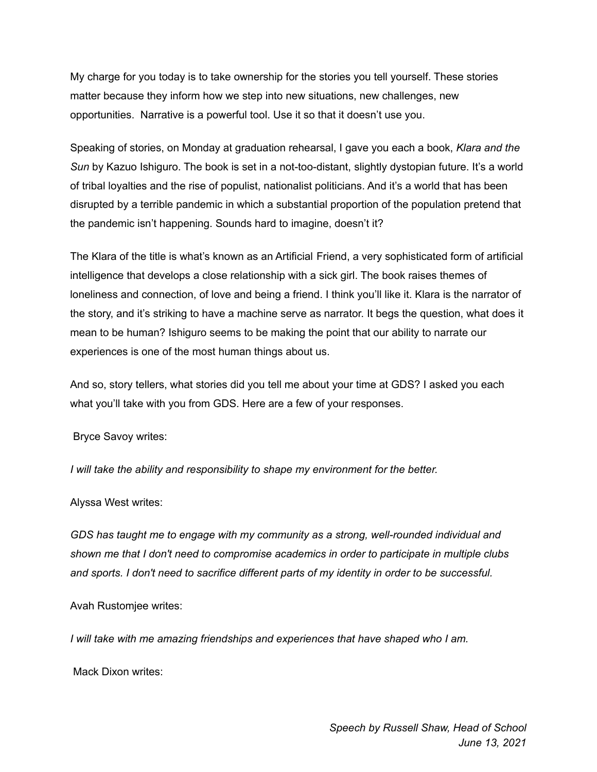My charge for you today is to take ownership for the stories you tell yourself. These stories matter because they inform how we step into new situations, new challenges, new opportunities. Narrative is a powerful tool. Use it so that it doesn't use you.

Speaking of stories, on Monday at graduation rehearsal, I gave you each a book, *Klara and the Sun* by Kazuo Ishiguro. The book is set in a not-too-distant, slightly dystopian future. It's a world of tribal loyalties and the rise of populist, nationalist politicians. And it's a world that has been disrupted by a terrible pandemic in which a substantial proportion of the population pretend that the pandemic isn't happening. Sounds hard to imagine, doesn't it?

The Klara of the title is what's known as an Artificial Friend, a very sophisticated form of artificial intelligence that develops a close relationship with a sick girl. The book raises themes of loneliness and connection, of love and being a friend. I think you'll like it. Klara is the narrator of the story, and it's striking to have a machine serve as narrator. It begs the question, what does it mean to be human? Ishiguro seems to be making the point that our ability to narrate our experiences is one of the most human things about us.

And so, story tellers, what stories did you tell me about your time at GDS? I asked you each what you'll take with you from GDS. Here are a few of your responses.

Bryce Savoy writes:

*I will take the ability and responsibility to shape my environment for the better.*

Alyssa West writes:

*GDS has taught me to engage with my community as a strong, well-rounded individual and shown me that I don't need to compromise academics in order to participate in multiple clubs and sports. I don't need to sacrifice different parts of my identity in order to be successful.*

Avah Rustomjee writes:

*I will take with me amazing friendships and experiences that have shaped who I am.*

Mack Dixon writes: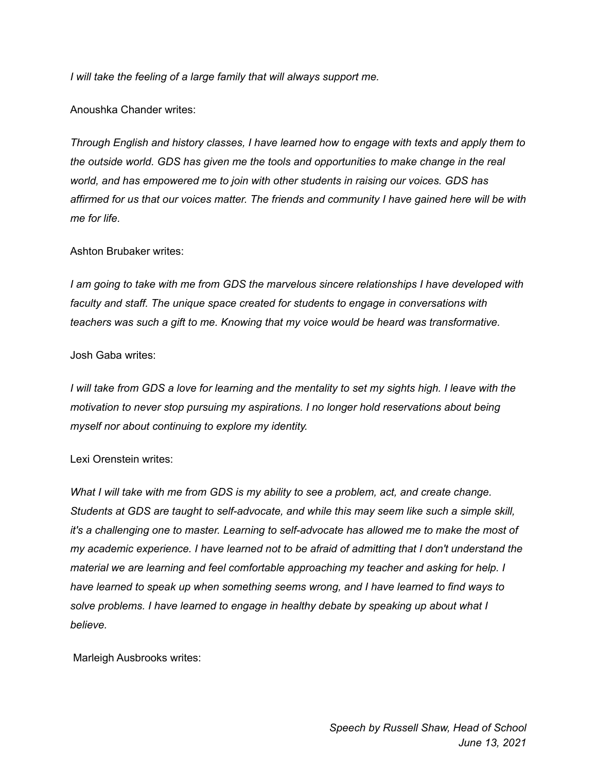*I will take the feeling of a large family that will always support me.*

## Anoushka Chander writes:

*Through English and history classes, I have learned how to engage with texts and apply them to the outside world. GDS has given me the tools and opportunities to make change in the real world, and has empowered me to join with other students in raising our voices. GDS has affirmed for us that our voices matter. The friends and community I have gained here will be with me for life.*

## Ashton Brubaker writes:

*I am going to take with me from GDS the marvelous sincere relationships I have developed with faculty and staff. The unique space created for students to engage in conversations with teachers was such a gift to me. Knowing that my voice would be heard was transformative.*

### Josh Gaba writes:

I will take from GDS a love for learning and the mentality to set my sights high. I leave with the *motivation to never stop pursuing my aspirations. I no longer hold reservations about being myself nor about continuing to explore my identity.*

### Lexi Orenstein writes:

*What I will take with me from GDS is my ability to see a problem, act, and create change. Students at GDS are taught to self-advocate, and while this may seem like such a simple skill, it's a challenging one to master. Learning to self-advocate has allowed me to make the most of my academic experience. I have learned not to be afraid of admitting that I don't understand the material we are learning and feel comfortable approaching my teacher and asking for help. I have learned to speak up when something seems wrong, and I have learned to find ways to solve problems. I have learned to engage in healthy debate by speaking up about what I believe.*

Marleigh Ausbrooks writes: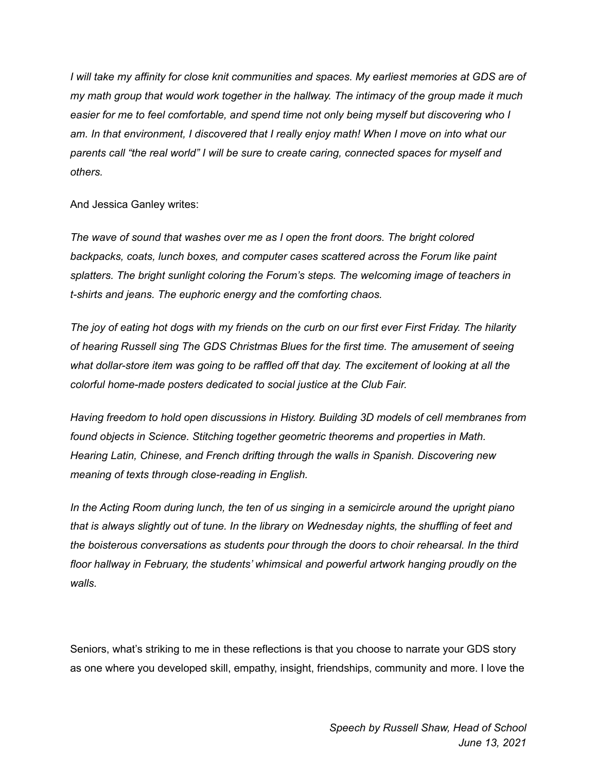*I will take my affinity for close knit communities and spaces. My earliest memories at GDS are of my math group that would work together in the hallway. The intimacy of the group made it much easier for me to feel comfortable, and spend time not only being myself but discovering who I am. In that environment, I discovered that I really enjoy math! When I move on into what our parents call "the real world" I will be sure to create caring, connected spaces for myself and others.*

And Jessica Ganley writes:

*The wave of sound that washes over me as I open the front doors. The bright colored backpacks, coats, lunch boxes, and computer cases scattered across the Forum like paint splatters. The bright sunlight coloring the Forum's steps. The welcoming image of teachers in t-shirts and jeans. The euphoric energy and the comforting chaos.*

The joy of eating hot dogs with my friends on the curb on our first ever First Friday. The hilarity *of hearing Russell sing The GDS Christmas Blues for the first time. The amusement of seeing what dollar-store item was going to be raffled off that day. The excitement of looking at all the colorful home-made posters dedicated to social justice at the Club Fair.*

*Having freedom to hold open discussions in History. Building 3D models of cell membranes from found objects in Science. Stitching together geometric theorems and properties in Math. Hearing Latin, Chinese, and French drifting through the walls in Spanish. Discovering new meaning of texts through close-reading in English.*

*In the Acting Room during lunch, the ten of us singing in a semicircle around the upright piano that is always slightly out of tune. In the library on Wednesday nights, the shuffling of feet and the boisterous conversations as students pour through the doors to choir rehearsal. In the third floor hallway in February, the students' whimsical and powerful artwork hanging proudly on the walls.*

Seniors, what's striking to me in these reflections is that you choose to narrate your GDS story as one where you developed skill, empathy, insight, friendships, community and more. I love the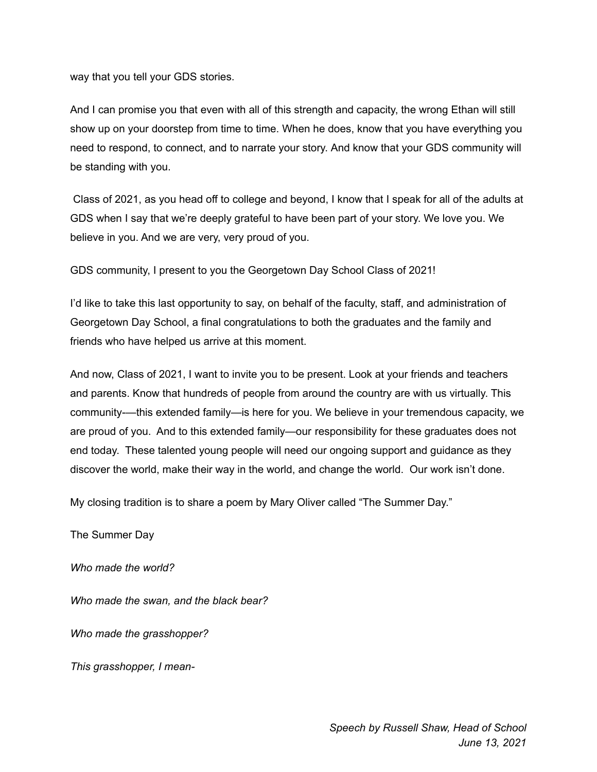way that you tell your GDS stories.

And I can promise you that even with all of this strength and capacity, the wrong Ethan will still show up on your doorstep from time to time. When he does, know that you have everything you need to respond, to connect, and to narrate your story. And know that your GDS community will be standing with you.

Class of 2021, as you head off to college and beyond, I know that I speak for all of the adults at GDS when I say that we're deeply grateful to have been part of your story. We love you. We believe in you. And we are very, very proud of you.

GDS community, I present to you the Georgetown Day School Class of 2021!

I'd like to take this last opportunity to say, on behalf of the faculty, staff, and administration of Georgetown Day School, a final congratulations to both the graduates and the family and friends who have helped us arrive at this moment.

And now, Class of 2021, I want to invite you to be present. Look at your friends and teachers and parents. Know that hundreds of people from around the country are with us virtually. This community-—this extended family—is here for you. We believe in your tremendous capacity, we are proud of you. And to this extended family—our responsibility for these graduates does not end today. These talented young people will need our ongoing support and guidance as they discover the world, make their way in the world, and change the world. Our work isn't done.

My closing tradition is to share a poem by Mary Oliver called "The Summer Day."

The Summer Day

*Who made the world?*

*Who made the swan, and the black bear?*

*Who made the grasshopper?*

*This grasshopper, I mean-*